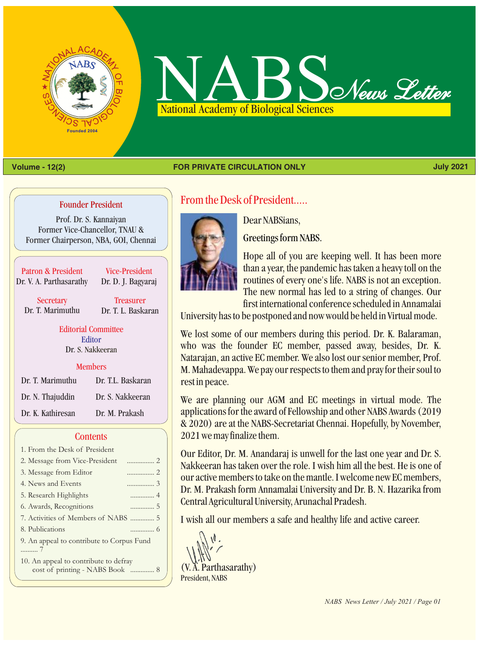



#### **Volume - 12(2) July 2021 FOR PRIVATE CIRCULATION ONLY**

#### Founder President

Prof. Dr. S. Kannaiyan Former Vice-Chancellor, TNAU & Former Chairperson, NBA, GOI, Chennai

Patron & President Dr. V. A. Parthasarathy

Vice-President Dr. D. J. Bagyaraj

**Secretary** Dr. T. Marimuthu

**Treasurer** Dr. T. L. Baskaran

Editorial Committee Dr. S. Nakkeeran Editor

#### **Members**

| Dr. T. Marimuthu  | Dr. T.L. Baskaran |
|-------------------|-------------------|
| Dr. N. Thajuddin  | Dr. S. Nakkeeran  |
| Dr. K. Kathiresan | Dr. M. Prakash    |

#### **Contents**

| 1. From the Desk of President                                            |
|--------------------------------------------------------------------------|
| . 2<br>2. Message from Vice-President                                    |
| 3. Message from Editor                                                   |
| 4. News and Events                                                       |
| 5. Research Highlights                                                   |
| 6. Awards, Recognitions                                                  |
| 7. Activities of Members of NABS  5                                      |
| 8. Publications                                                          |
| 9. An appeal to contribute to Corpus Fund                                |
| 10. An appeal to contribute to defray<br>cost of printing - NABS Book  8 |

From the Desk of President.....



Dear NABSians,

Greetings form NABS.

Hope all of you are keeping well. It has been more than a year, the pandemic has taken a heavy toll on the routines of every one's life. NABS is not an exception. The new normal has led to a string of changes. Our first international conference scheduled in Annamalai

University has to be postponed and now would be held in Virtual mode.

We lost some of our members during this period. Dr. K. Balaraman, who was the founder EC member, passed away, besides, Dr. K. Natarajan, an active EC member. We also lost our senior member, Prof. M. Mahadevappa. We pay our respects to them and pray for their soul to rest in peace.

We are planning our AGM and EC meetings in virtual mode. The applications for the award of Fellowship and other NABS Awards (2019 & 2020) are at the NABS-Secretariat Chennai. Hopefully, by November, 2021 we may finalize them.

Our Editor, Dr. M. Anandaraj is unwell for the last one year and Dr. S. Nakkeeran has taken over the role. I wish him all the best. He is one of our active members to take on the mantle. I welcome new EC members, Dr. M. Prakash form Annamalai University and Dr. B. N. Hazarika from Central Agricultural University, Arunachal Pradesh.

I wish all our members a safe and healthy life and active career.

(V. A. Parthasarathy) President, NABS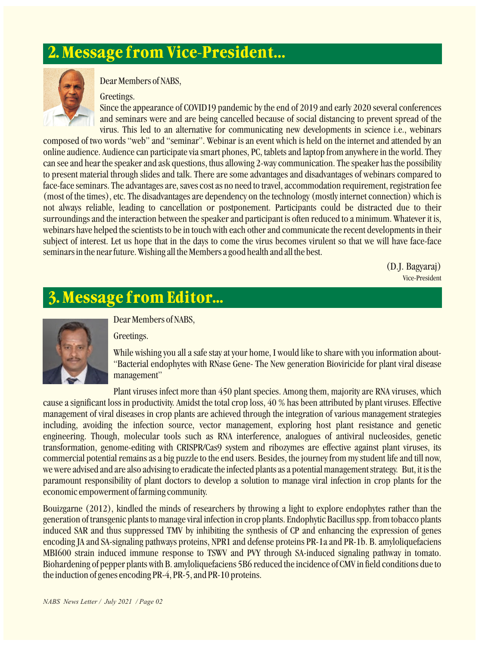# **2. Message from Vice-President…**



Dear Members of NABS,

#### Greetings.

Since the appearance of COVID19 pandemic by the end of 2019 and early 2020 several conferences and seminars were and are being cancelled because of social distancing to prevent spread of the virus. This led to an alternative for communicating new developments in science i.e., webinars

composed of two words "web" and "seminar". Webinar is an event which is held on the internet and attended by an online audience. Audience can participate via smart phones, PC, tablets and laptop from anywhere in the world. They can see and hear the speaker and ask questions, thus allowing 2-way communication. The speaker has the possibility to present material through slides and talk. There are some advantages and disadvantages of webinars compared to face-face seminars. The advantages are, saves cost as no need to travel, accommodation requirement, registration fee (most of the times), etc. The disadvantages are dependency on the technology (mostly internet connection) which is not always reliable, leading to cancellation or postponement. Participants could be distracted due to their surroundings and the interaction between the speaker and participant is often reduced to a minimum. Whatever it is, webinars have helped the scientists to be in touch with each other and communicate the recent developments in their subject of interest. Let us hope that in the days to come the virus becomes virulent so that we will have face-face seminars in the near future. Wishing all the Members a good health and all the best.

> (D.J. Bagyaraj) Vice-President

## **3. Message from Editor...**



### Dear Members of NABS,

#### Greetings.

While wishing you all a safe stay at your home, I would like to share with you information about- "Bacterial endophytes with RNase Gene- The New generation Bioviricide for plant viral disease management"

Plant viruses infect more than 450 plant species. Among them, majority are RNA viruses, which cause a significant loss in productivity. Amidst the total crop loss, 40 % has been attributed by plant viruses. Effective management of viral diseases in crop plants are achieved through the integration of various management strategies including, avoiding the infection source, vector management, exploring host plant resistance and genetic engineering. Though, molecular tools such as RNA interference, analogues of antiviral nucleosides, genetic transformation, genome-editing with CRISPR/Cas9 system and ribozymes are effective against plant viruses, its commercial potential remains as a big puzzle to the end users. Besides, the journey from my student life and till now, we were advised and are also advising to eradicate the infected plants as a potential management strategy. But, it is the paramount responsibility of plant doctors to develop a solution to manage viral infection in crop plants for the economic empowerment of farming community.

Bouizgarne (2012), kindled the minds of researchers by throwing a light to explore endophytes rather than the generation of transgenic plants to manage viral infection in crop plants. Endophytic Bacillus spp. from tobacco plants induced SAR and thus suppressed TMV by inhibiting the synthesis of CP and enhancing the expression of genes encoding JA and SA-signaling pathways proteins, NPR1 and defense proteins PR-1a and PR-1b. B. amyloliquefaciens MBI600 strain induced immune response to TSWV and PVY through SA-induced signaling pathway in tomato. Biohardening of pepper plants with B. amyloliquefaciens 5B6 reduced the incidence of CMV in field conditions due to the induction of genes encoding PR-4, PR-5, and PR-10 proteins.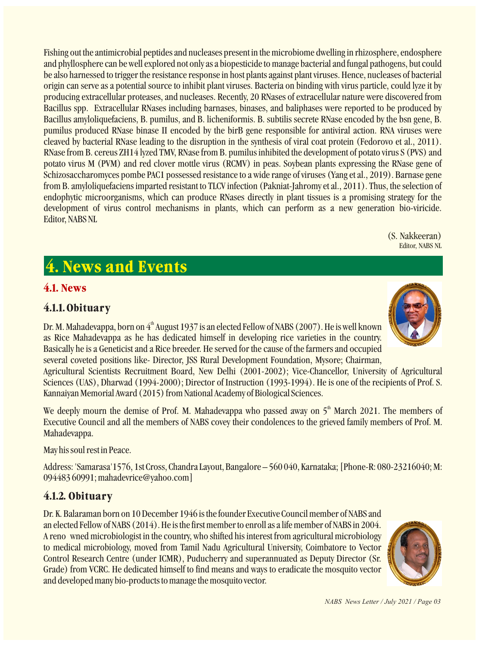Fishing out the antimicrobial peptides and nucleases present in the microbiome dwelling in rhizosphere, endosphere and phyllosphere can be well explored not only as a biopesticide to manage bacterial and fungal pathogens, but could be also harnessed to trigger the resistance response in host plants against plant viruses. Hence, nucleases of bacterial origin can serve as a potential source to inhibit plant viruses. Bacteria on binding with virus particle, could lyze it by producing extracellular proteases, and nucleases. Recently, 20 RNases of extracellular nature were discovered from Bacillus spp. Extracellular RNases including barnases, binases, and baliphases were reported to be produced by Bacillus amyloliquefaciens, B. pumilus, and B. licheniformis. B. subtilis secrete RNase encoded by the bsn gene, B. pumilus produced RNase binase II encoded by the birB gene responsible for antiviral action. RNA viruses were cleaved by bacterial RNase leading to the disruption in the synthesis of viral coat protein (Fedorovo et al., 2011). RNase from B. cereus ZH14 lyzed TMV, RNase from B. pumilus inhibited the development of potato virus S (PVS) and potato virus M (PVM) and red clover mottle virus (RCMV) in peas. Soybean plants expressing the RNase gene of Schizosaccharomyces pombe PAC1 possessed resistance to a wide range of viruses (Yang et al., 2019). Barnase gene from B. amyloliquefaciens imparted resistant to TLCV infection (Pakniat-Jahromy et al., 2011). Thus, the selection of endophytic microorganisms, which can produce RNases directly in plant tissues is a promising strategy for the development of virus control mechanisms in plants, which can perform as a new generation bio-viricide. Editor, NABS NL

> (S. Nakkeeran) Editor, NABS NL

# **4. News and Events**

## **4.1. News**

## **4.1.1. Obituary**

Dr. M. Mahadevappa, born on  $4<sup>th</sup>$  August 1937 is an elected Fellow of NABS (2007). He is well known as Rice Mahadevappa as he has dedicated himself in developing rice varieties in the country. Basically he is a Geneticist and a Rice breeder. He served for the cause of the farmers and occupied several coveted positions like- Director, JSS Rural Development Foundation, Mysore; Chairman,

Agricultural Scientists Recruitment Board, New Delhi (2001-2002); Vice-Chancellor, University of Agricultural Sciences (UAS), Dharwad (1994-2000); Director of Instruction (1993-1994). He is one of the recipients of Prof. S. Kannaiyan Memorial Award (2015) from National Academy of Biological Sciences.

We deeply mourn the demise of Prof. M. Mahadevappa who passed away on  $5<sup>th</sup>$  March 2021. The members of Executive Council and all the members of NABS covey their condolences to the grieved family members of Prof. M. Mahadevappa.

May his soul rest in Peace.

Address: 'Samarasa'1576, 1st Cross, Chandra Layout, Bangalore – 560 040, Karnataka; [Phone-R: 080-23216040; M: 094483 60991; mahadevrice@yahoo.com]

## **4.1.2. Obituary**

Dr. K. Balaraman born on 10 December 1946 is the founder Executive Council member of NABS and an elected Fellow of NABS (2014). He is the first member to enroll as a life member of NABS in 2004. A reno wned microbiologist in the country, who shifted his interest from agricultural microbiology to medical microbiology, moved from Tamil Nadu Agricultural University, Coimbatore to Vector Control Research Centre (under ICMR), Puducherry and superannuated as Deputy Director (Sr. Grade) from VCRC. He dedicated himself to find means and ways to eradicate the mosquito vector and developed many bio-products to manage the mosquito vector.





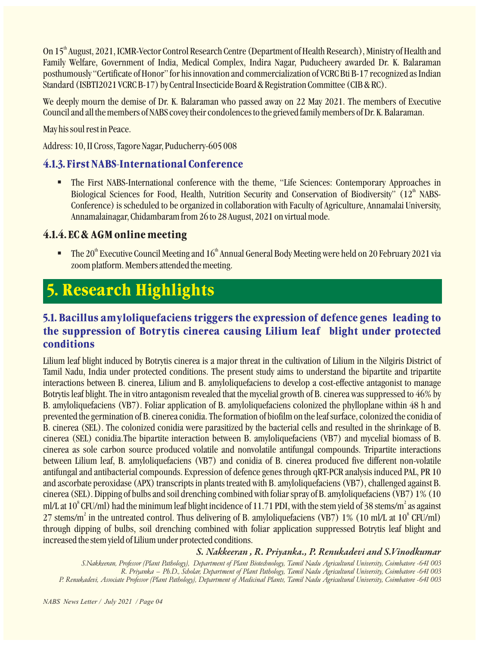On 15<sup>th</sup> August, 2021, ICMR-Vector Control Research Centre (Department of Health Research), Ministry of Health and Family Welfare, Government of India, Medical Complex, Indira Nagar, Puducheery awarded Dr. K. Balaraman posthumously "Certificate of Honor" for his innovation and commercialization of VCRC Bti B-17 recognized as Indian Standard (ISBTI2021 VCRC B-17) by Central Insecticide Board & Registration Committee (CIB & RC).

We deeply mourn the demise of Dr. K. Balaraman who passed away on 22 May 2021. The members of Executive Council and all the members of NABS covey their condolences to the grieved family members of Dr. K. Balaraman.

May his soul rest in Peace.

Address: 10, II Cross, Tagore Nagar, Puducherry-605 008

### **4.1.3. First NABS-International Conference**

The First NABS-International conference with the theme, "Life Sciences: Contemporary Approaches in Biological Sciences for Food, Health, Nutrition Security and Conservation of Biodiversity" (12<sup>th</sup> NABS-Conference) is scheduled to be organized in collaboration with Faculty of Agriculture, Annamalai University, Annamalainagar, Chidambaram from 26 to 28 August, 2021 on virtual mode.

### **4.1.4. EC & AGM online meeting**

**The 20<sup>th</sup> Executive Council Meeting and 16<sup>th</sup> Annual General Body Meeting were held on 20 February 2021 via** zoom platform. Members attended the meeting.

# **5. Research Highlights**

## **5.1. Bacillus amyloliquefaciens triggers the expression of defence genes leading to the suppression of Botrytis cinerea causing Lilium leaf blight under protected conditions**

Lilium leaf blight induced by Botrytis cinerea is a major threat in the cultivation of Lilium in the Nilgiris District of Tamil Nadu, India under protected conditions. The present study aims to understand the bipartite and tripartite interactions between B. cinerea, Lilium and B. amyloliquefaciens to develop a cost-effective antagonist to manage Botrytis leaf blight. The in vitro antagonism revealed that the mycelial growth of B. cinerea was suppressed to 46% by B. amyloliquefaciens (VB7). Foliar application of B. amyloliquefaciens colonized the phylloplane within 48 h and prevented the germination of B. cinerea conidia. The formation of biofilm on the leaf surface, colonized the conidia of B. cinerea (SEL). The colonized conidia were parasitized by the bacterial cells and resulted in the shrinkage of B. cinerea (SEL) conidia.The bipartite interaction between B. amyloliquefaciens (VB7) and mycelial biomass of B. cinerea as sole carbon source produced volatile and nonvolatile antifungal compounds. Tripartite interactions between Lilium leaf, B. amyloliquefaciens (VB7) and conidia of B. cinerea produced five different non-volatile antifungal and antibacterial compounds. Expression of defence genes through qRT-PCR analysis induced PAL, PR 10 and ascorbate peroxidase (APX) transcripts in plants treated with B. amyloliquefaciens (VB7), challenged against B. cinerea (SEL). Dipping of bulbs and soil drenching combined with foliar spray of B. amyloliquefaciens (VB7) 1% (10 ml/L at  $10^8$  CFU/ml) had the minimum leaf blight incidence of 11.71 PDI, with the stem yield of 38 stems/m<sup>2</sup> as against 27 stems/m<sup>2</sup> in the untreated control. Thus delivering of B. amyloliquefaciens (VB7) 1% (10 ml/L at  $10^8$  CFU/ml) through dipping of bulbs, soil drenching combined with foliar application suppressed Botrytis leaf blight and increased the stem yield of Lilium under protected conditions.

### *S. Nakkeeran , R. Priyanka., P. Renukadevi and S.Vinodkumar*

*S.Nakkeeran, Professor (Plant Pathology), Department of Plant Biotechnology, Tamil Nadu Agricultural University, Coimbatore -641 003 R. Priyanka – Ph.D., Scholar, Department of Plant Pathology, Tamil Nadu Agricultural University, Coimbatore -641 003 P. Renukadevi, Associate Professor (Plant Pathology), Department of Medicinal Plants, Tamil Nadu Agricultural University, Coimbatore -641 003*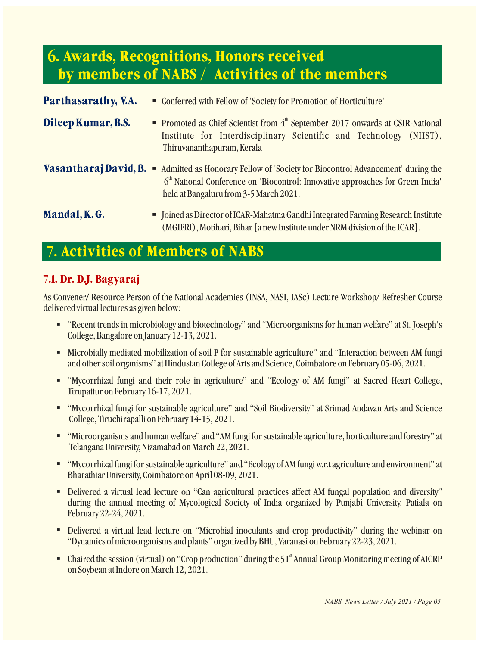## **6. Awards, Recognitions, Honors received by members of NABS / Activities of the members**

| Parthasarathy, V.A. | • Conferred with Fellow of 'Society for Promotion of Horticulture'                                                                                                                                                                                    |
|---------------------|-------------------------------------------------------------------------------------------------------------------------------------------------------------------------------------------------------------------------------------------------------|
| Dileep Kumar, B.S.  | • Promoted as Chief Scientist from 4 <sup>th</sup> September 2017 onwards at CSIR-National<br>Institute for Interdisciplinary Scientific and Technology (NIIST),<br>Thiruvananthapuram, Kerala                                                        |
|                     | <b>Vasantharaj David, B. •</b> Admitted as Honorary Fellow of 'Society for Biocontrol Advancement' during the<br>6 <sup>th</sup> National Conference on 'Biocontrol: Innovative approaches for Green India'<br>held at Bangaluru from 3-5 March 2021. |
| Mandal, K.G.        | • Joined as Director of ICAR-Mahatma Gandhi Integrated Farming Research Institute<br>(MGIFRI), Motihari, Bihar [a new Institute under NRM division of the ICAR].                                                                                      |

# **7. Activities of Members of NABS**

### **7.1. Dr. D.J. Bagyaraj**

As Convener/ Resource Person of the National Academies (INSA, NASI, IASc) Lecture Workshop/ Refresher Course delivered virtual lectures as given below:

- "Recent trends in microbiology and biotechnology" and "Microorganisms for human welfare" at St. Joseph's College, Bangalore on January 12-13, 2021.
- § Microbially mediated mobilization of soil P for sustainable agriculture" and "Interaction between AM fungi and other soil organisms" at Hindustan College of Arts and Science, Coimbatore on February 05-06, 2021.
- § "Mycorrhizal fungi and their role in agriculture" and "Ecology of AM fungi" at Sacred Heart College, Tirupattur on February 16-17, 2021.
- § "Mycorrhizal fungi for sustainable agriculture" and "Soil Biodiversity" at Srimad Andavan Arts and Science College, Tiruchirapalli on February 14-15, 2021.
- "Microorganisms and human welfare" and "AM fungi for sustainable agriculture, horticulture and forestry" at Telangana University, Nizamabad on March 22, 2021.
- "Mycorrhizal fungi for sustainable agriculture" and "Ecology of AM fungi w.r.t agriculture and environment" at Bharathiar University, Coimbatore on April 08-09, 2021.
- § Delivered a virtual lead lecture on "Can agricultural practices affect AM fungal population and diversity" during the annual meeting of Mycological Society of India organized by Punjabi University, Patiala on February 22-24, 2021.
- Delivered a virtual lead lecture on "Microbial inoculants and crop productivity" during the webinar on "Dynamics of microorganisms and plants" organized by BHU, Varanasi on February 22-23, 2021.
- Chaired the session (virtual) on "Crop production" during the 51<sup>st</sup> Annual Group Monitoring meeting of AICRP on Soybean at Indore on March 12, 2021.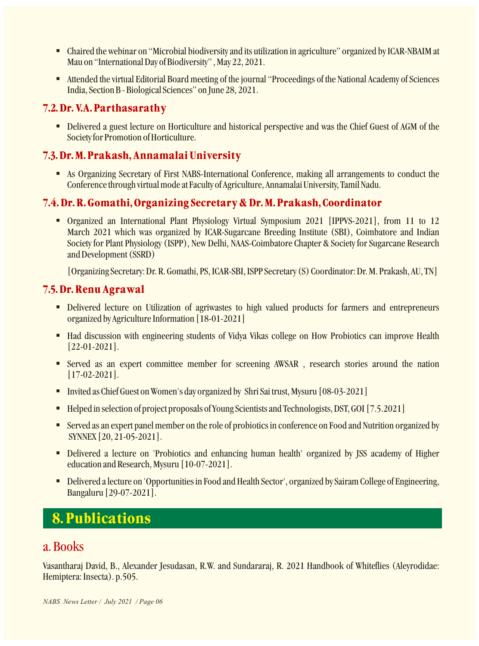- Chaired the webinar on "Microbial biodiversity and its utilization in agriculture" organized by ICAR-NBAIM at Mau on "International Day of Biodiversity" , May 22, 2021.
- Attended the virtual Editorial Board meeting of the journal "Proceedings of the National Academy of Sciences India, Section B - Biological Sciences" on June 28, 2021.

## **7.2. Dr. V.A. Parthasarathy**

■ Delivered a guest lecture on Horticulture and historical perspective and was the Chief Guest of AGM of the Society for Promotion of Horticulture.

## **7.3. Dr. M. Prakash, Annamalai University**

§ As Organizing Secretary of First NABS-International Conference, making all arrangements to conduct the Conference through virtual mode at Faculty of Agriculture, Annamalai University, Tamil Nadu.

## **7.4. Dr. R. Gomathi, Organizing Secretary & Dr. M. Prakash, Coordinator**

§ Organized an International Plant Physiology Virtual Symposium 2021 [IPPVS-2021], from 11 to 12 March 2021 which was organized by ICAR-Sugarcane Breeding Institute (SBI), Coimbatore and Indian Society for Plant Physiology (ISPP), New Delhi, NAAS-Coimbatore Chapter & Society for Sugarcane Research and Development (SSRD)

[Organizing Secretary: Dr. R. Gomathi, PS, ICAR-SBI, ISPP Secretary (S) Coordinator: Dr. M. Prakash, AU, TN]

### **7.5. Dr. Renu Agrawal**

- § Delivered lecture on Utilization of agriwastes to high valued products for farmers and entrepreneurs organized by Agriculture Information [18-01-2021]
- Had discussion with engineering students of Vidya Vikas college on How Probiotics can improve Health [22-01-2021].
- § Served as an expert committee member for screening AWSAR , research stories around the nation [17-02-2021].
- Invited as Chief Guest on Women's day organized by Shri Sai trust, Mysuru [08-03-2021]
- Helped in selection of project proposals of Young Scientists and Technologists, DST, GOI [7.5.2021]
- Served as an expert panel member on the role of probiotics in conference on Food and Nutrition organized by SYNNEX [20, 21-05-2021].
- **Delivered a lecture on 'Probiotics and enhancing human health' organized by JSS academy of Higher** education and Research, Mysuru [10-07-2021].
- Delivered a lecture on 'Opportunities in Food and Health Sector', organized by Sairam College of Engineering, Bangaluru [29-07-2021].

## **8. Publications**

## a. Books

Vasantharaj David, B., Alexander Jesudasan, R.W. and Sundararaj, R. 2021 Handbook of Whiteflies (Aleyrodidae: Hemiptera: Insecta). p.505.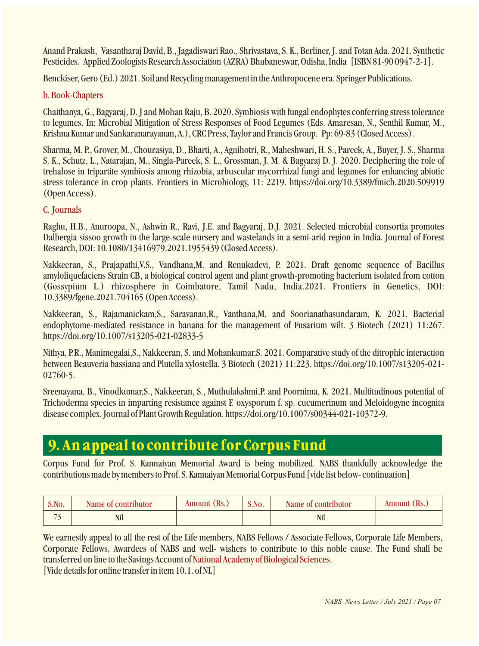Anand Prakash, Vasantharaj David, B., Jagadiswari Rao., Shrivastava, S. K., Berliner, J. and Totan Ada. 2021. Synthetic Pesticides. Applied Zoologists Research Association (AZRA) Bhubaneswar, Odisha, India [ISBN 81-90 0947-2-1].

Benckiser, Gero (Ed.) 2021. Soil and Recycling management in the Anthropocene era. Springer Publications.

### b. Book-Chapters

Chaithanya, G., Bagyaraj, D. J and Mohan Raju, B. 2020. Symbiosis with fungal endophytes conferring stress tolerance to legumes. In: Microbial Mitigation of Stress Responses of Food Legumes (Eds. Amaresan, N., Senthil Kumar, M., Krishna Kumar and Sankaranarayanan, A.), CRC Press, Taylor and Francis Group. Pp: 69-83 (Closed Access).

Sharma, M. P., Grover, M., Chourasiya, D., Bharti, A., Agnihotri, R., Maheshwari, H. S., Pareek, A., Buyer, J. S., Sharma S. K., Schutz, L., Natarajan, M., Singla-Pareek, S. L., Grossman, J. M. & Bagyaraj D. J. 2020. Deciphering the role of trehalose in tripartite symbiosis among rhizobia, arbuscular mycorrhizal fungi and legumes for enhancing abiotic stress tolerance in crop plants. Frontiers in Microbiology, 11: 2219. https://doi.org/10.3389/fmicb.2020.509919 (Open Access).

### C. Journals

Raghu, H.B., Anuroopa, N., Ashwin R., Ravi, J.E. and Bagyaraj, D.J. 2021. Selected microbial consortia promotes Dalbergia sissoo growth in the large-scale nursery and wastelands in a semi-arid region in India. Journal of Forest Research, DOI: 10.1080/13416979.2021.1955439 (Closed Access).

Nakkeeran, S., Prajapathi,V.S., Vandhana,M. and Renukadevi, P. 2021. Draft genome sequence of Bacillus amyloliquefaciens Strain CB, a biological control agent and plant growth-promoting bacterium isolated from cotton (Gossypium L.) rhizosphere in Coimbatore, Tamil Nadu, India.2021. Frontiers in Genetics, DOI: 10.3389/fgene.2021.704165 (Open Access).

Nakkeeran, S., Rajamanickam,S., Saravanan,R., Vanthana,M. and Soorianathasundaram, K. 2021. Bacterial endophytome-mediated resistance in banana for the management of Fusarium wilt. 3 Biotech (2021) 11:267. https://doi.org/10.1007/s13205-021-02833-5

Nithya, P.R., Manimegalai,S., Nakkeeran, S. and Mohankumar,S. 2021. Comparative study of the ditrophic interaction between Beauveria bassiana and Plutella xylostella. 3 Biotech (2021) 11:223. https://doi.org/10.1007/s13205-021- 02760-5.

Sreenayana, B., Vinodkumar,S., Nakkeeran, S., Muthulakshmi,P. and Poornima, K. 2021. Multitudinous potential of Trichoderma species in imparting resistance against F. oxysporum f. sp. cucumerinum and Meloidogyne incognita disease complex. Journal of Plant Growth Regulation. https://doi.org/10.1007/s00344-021-10372-9.

## **9. An appeal to contribute for Corpus Fund**

Corpus Fund for Prof. S. Kannaiyan Memorial Award is being mobilized. NABS thankfully acknowledge the contributions made by members to Prof. S. Kannaiyan Memorial Corpus Fund [vide list below- continuation]

| S.No.          | Name of contributor | Amount (Rs.) | S.No. | Name of contributor | Amount (Rs.) |
|----------------|---------------------|--------------|-------|---------------------|--------------|
| $\blacksquare$ | Nil                 |              |       | Nil                 |              |

We earnestly appeal to all the rest of the Life members, NABS Fellows / Associate Fellows, Corporate Life Members, Corporate Fellows, Awardees of NABS and well- wishers to contribute to this noble cause. The Fund shall be transferred on line to the Savings Account of National Academy of Biological Sciences. [Vide details for online transfer in item 10.1. of NL]